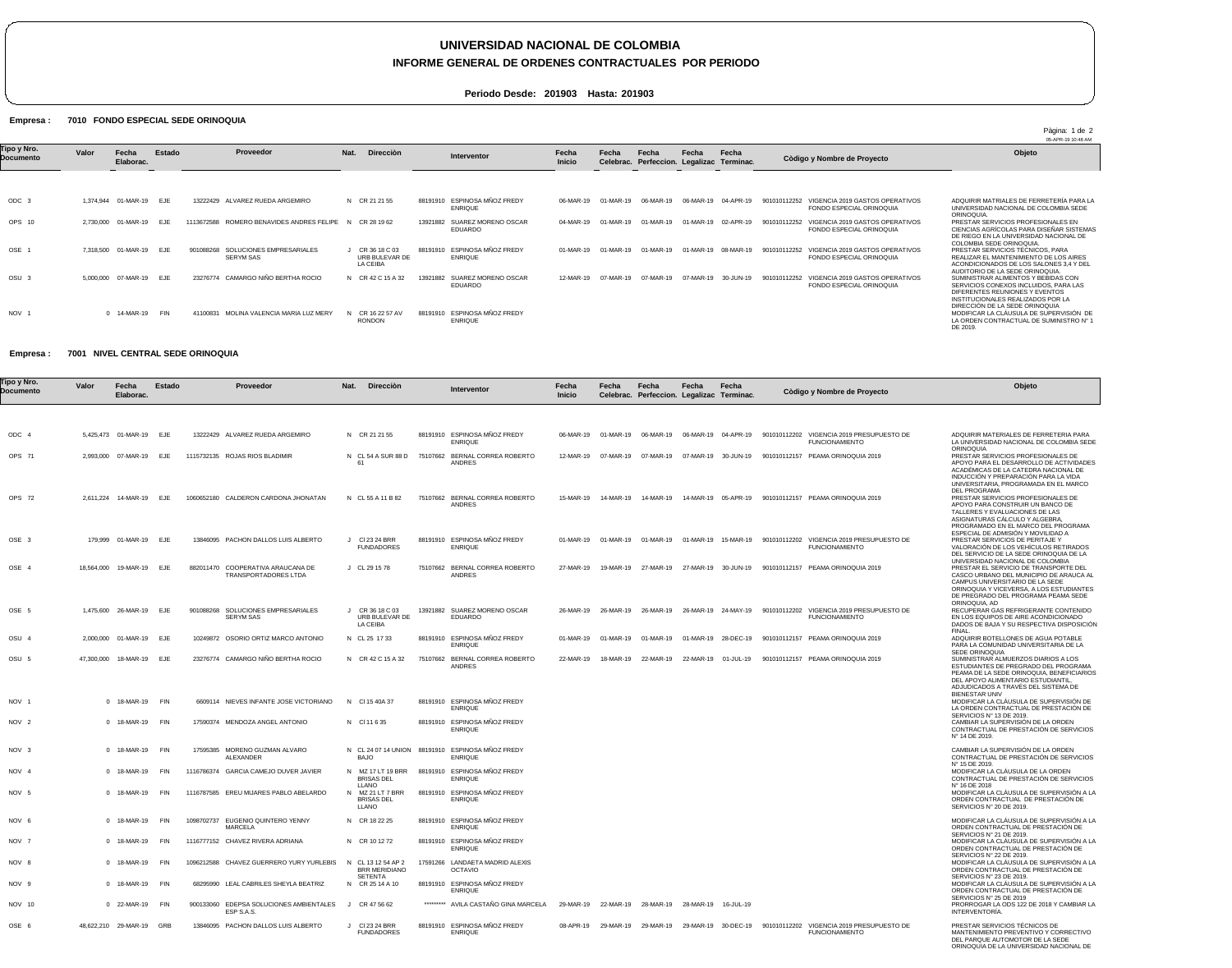# **UNIVERSIDAD NACIONAL DE COLOMBIA**

### **INFORME GENERAL DE ORDENES CONTRACTUALES POR PERIODO**

**Periodo Desde: 201903 Hasta: 201903**

#### Empresa : 7010 FONDO ESPECIAL SEDE ORINOQUIA

|                          |           |                         |            |                                                           |                                             |          |                                       |                 |           |                                                    |           |                     |                                                                             | 05-APR-19 10:48 AM                                                                                                                                       |
|--------------------------|-----------|-------------------------|------------|-----------------------------------------------------------|---------------------------------------------|----------|---------------------------------------|-----------------|-----------|----------------------------------------------------|-----------|---------------------|-----------------------------------------------------------------------------|----------------------------------------------------------------------------------------------------------------------------------------------------------|
| Tipo y Nro.<br>Documento | Valor     | Fecha<br>Elaborac.      | Estado     | Proveedor                                                 | Nat.<br>Direcciòn                           |          | Interventor                           | Fecha<br>Inicio | Fecha     | Fecha<br>Celebrac. Perfeccion. Legalizac Terminac. | Fecha     | Fecha               | Còdigo y Nombre de Proyecto                                                 | Objeto                                                                                                                                                   |
|                          |           |                         |            |                                                           |                                             |          |                                       |                 |           |                                                    |           |                     |                                                                             |                                                                                                                                                          |
| ODC <sub>3</sub>         | 1.374.944 | 01-MAR-19 EJE           |            | ALVAREZ RUEDA ARGEMIRO<br>13222429                        | N CR 21 21 55                               | 88191910 | ESPINOSA MÑOZ FREDY<br><b>ENRIQUE</b> | 06-MAR-19       | 01-MAR-19 | 06-MAR-19                                          | 06-MAR-19 | 04-APR-19           | VIGENCIA 2019 GASTOS OPERATIVOS<br>901010112252<br>FONDO ESPECIAL ORINOQUIA | ADQUIRIR MATRIALES DE FERRETERÍA PARA LA<br>UNIVERSIDAD NACIONAL DE COLOMBIA SEDE<br>ORINOQUIA.                                                          |
| OPS 10                   | 2.730.000 | 01-MAR-19               | EJE        | ROMERO BENAVIDES ANDRES FELIPE N<br>1113672588            | CR 28 19 62                                 | 13921882 | SUAREZ MORENO OSCAR<br>EDUARDO        | 04-MAR-19       | 01-MAR-19 | 01-MAR-19                                          | 01-MAR-19 | 02-APR-19           | VIGENCIA 2019 GASTOS OPERATIVOS<br>901010112252<br>FONDO ESPECIAL ORINOQUIA | PRESTAR SERVICIOS PROFESIONALES EN<br>CIENCIAS AGRÍCOLAS PARA DISEÑAR SISTEMAS<br>DE RIEGO EN LA UNIVERSIDAD NACIONAL DE<br>COLOMBIA SEDE ORINOQUIA.     |
| OSE 1                    |           | 7,318,500 01-MAR-19 EJE |            | SOLUCIONES EMPRESARIALES<br>901088268<br><b>SERYM SAS</b> | CR 36 18 C 03<br>URB BULEVAR DE<br>LA CEIBA | 88191910 | ESPINOSA MÑOZ FREDY<br><b>ENRIQUE</b> | 01-MAR-19       | 01-MAR-19 | 01-MAR-19                                          |           | 01-MAR-19 08-MAR-19 | VIGENCIA 2019 GASTOS OPERATIVOS<br>901010112252<br>FONDO ESPECIAL ORINOQUIA | PRESTAR SERVICIOS TÉCNICOS, PARA<br>REALIZAR EL MANTENIMIENTO DE LOS AIRES<br>ACONDICIONADOS DE LOS SALONES 3.4 Y DEL<br>AUDITORIO DE LA SEDE ORINOQUIA. |
| OSU <sub>3</sub>         | 5.000.000 | 07-MAR-19 EJE           |            | CAMARGO NIÑO BERTHA ROCIO<br>23276774                     | N CR 42 C 15 A 32                           | 13921882 | SUAREZ MORENO OSCAR<br>EDUARDO        | 12-MAR-19       | 07-MAR-19 | 07-MAR-19                                          | 07-MAR-19 | 30-JUN-19           | VIGENCIA 2019 GASTOS OPERATIVOS<br>901010112252<br>FONDO ESPECIAL ORINOQUIA | SUMINISTRAR ALIMENTOS Y BEBIDAS CON<br>SERVICIOS CONEXOS INCLUIDOS. PARA LAS<br>DIFERENTES REUNIONES Y EVENTOS<br>INSTITUCIONALES REALIZADOS POR LA      |
| NOV <sub>1</sub>         |           | 14-MAR-19               | <b>FIN</b> | MOLINA VALENCIA MARIA LUZ MERY<br>41100831                | CR 16 22 57 AV<br><b>RONDON</b>             | 88191910 | ESPINOSA MÑOZ FREDY<br><b>ENRIQUE</b> |                 |           |                                                    |           |                     |                                                                             | DIRECCIÓN DE LA SEDE ORINOQUIA<br>MODIFICAR LA CLÁUSULA DE SUPERVISIÓN DE<br>LA ORDEN CONTRACTUAL DE SUMINISTRO Nº 1<br>DE 2019.                         |

#### Empresa : 7001 NIVEL CENTRAL SEDE ORINOQUIA

| 'ipo y Nro.<br>Documento | Valor        | Fecha<br>Elaborac.    | Estado     |            | Proveedor                                         | Nat. | <b>Dirección</b>                                        | <b>Interventor</b>                                                 | Fecha<br><b>Inicio</b> | Fecha     | Fecha<br>Celebrac. Perfeccion. Legalizac Terminac. | Fecha | Fecha               | Còdigo y Nombre de Proyecto                                                                                | Objeto                                                                                                                                                                                                                                         |
|--------------------------|--------------|-----------------------|------------|------------|---------------------------------------------------|------|---------------------------------------------------------|--------------------------------------------------------------------|------------------------|-----------|----------------------------------------------------|-------|---------------------|------------------------------------------------------------------------------------------------------------|------------------------------------------------------------------------------------------------------------------------------------------------------------------------------------------------------------------------------------------------|
|                          |              |                       |            |            |                                                   |      |                                                         |                                                                    |                        |           |                                                    |       |                     |                                                                                                            |                                                                                                                                                                                                                                                |
| ODC <sub>4</sub>         |              | 5.425.473 01-MAR-19   | EJE        |            | 13222429 ALVAREZ RUEDA ARGEMIRO                   |      | N CR 21 21 55                                           | 88191910 ESPINOSA MÑOZ FREDY<br><b>ENRIQUE</b>                     | 06-MAR-19              | 01-MAR-19 | 06-MAR-19                                          |       | 06-MAR-19 04-APR-19 | 901010112202 VIGENCIA 2019 PRESUPUESTO DE<br><b>FUNCIONAMIENTO</b>                                         | ADQUIRIR MATERIALES DE FERRETERIA PARA<br>LA UNIVERSIDAD NACIONAL DE COLOMBIA SEDE                                                                                                                                                             |
| OPS 71                   |              | 2,993,000 07-MAR-19   | EJE        |            | 1115732135 ROJAS RIOS BLADIMIR                    |      | N CL 54 A SUR 88 D                                      | 75107662 BERNAL CORREA ROBERTO<br><b>ANDRES</b>                    | 12-MAR-19              | 07-MAR-19 | 07-MAR-19                                          |       | 07-MAR-19 30-JUN-19 | 901010112157 PEAMA ORINOQUIA 2019                                                                          | ORINOQUIA<br>PRESTAR SERVICIOS PROFESIONALES DE<br>APOYO PARA EL DESARROLLO DE ACTIVIDADES<br>ACADÉMICAS DE LA CATEDRA NACIONAL DE<br>INDUCCIÓN Y PREPARACIÓN PARA LA VIDA<br>UNIVERSITARIA, PROGRAMADA EN EL MARCO                            |
| OPS 72                   |              | 2,611,224 14-MAR-19   | EJE        |            | 1060652180 CALDERON CARDONA JHONATAN              |      | N CL 55 A 11 B 82                                       | 75107662 BERNAL CORREA ROBERTO<br>ANDRES                           | 15-MAR-19              | 14-MAR-19 | 14-MAR-19                                          |       |                     | 14-MAR-19 05-APR-19 901010112157 PEAMA ORINOQUIA 2019                                                      | <b>DEL PROGRAMA</b><br>PRESTAR SERVICIOS PROFESIONALES DE<br>APOYO PARA CONSTRUIR UN BANCO DE<br>TALLERES Y EVALUACIONES DE LAS<br>ASIGNATURAS CÁLCULO Y ALGEBRA,<br>PROGRAMADO EN EL MARCO DEL PROGRAMA<br>ESPECIAL DE ADMISIÓN Y MOVILIDAD A |
| OSE 3                    |              | 179,999 01-MAR-19     | EJE        |            | 13846095 PACHON DALLOS LUIS ALBERTO               |      | J CI 23 24 BRR<br><b>FUNDADORES</b>                     | 88191910 ESPINOSA MÑOZ FREDY<br><b>ENRIQUE</b>                     | 01-MAR-19              | 01-MAR-19 | 01-MAR-19                                          |       | 01-MAR-19 15-MAR-19 | 901010112202 VIGENCIA 2019 PRESUPUESTO DE<br><b>FUNCIONAMIENTO</b>                                         | PRESTAR SERVICIOS DE PERITAJE Y<br>VALORACIÓN DE LOS VEHÍCULOS RETIRADOS<br>DEL SERVICIO DE LA SEDE ORINOQUIA DE LA<br>UNIVERSIDAD NACIONAL DE COLOMBIA                                                                                        |
| OSE 4                    |              | 18,564,000  19-MAR-19 | EJE        | 882011470  | COOPERATIVA ARAUCANA DE<br>TRANSPORTADORES LTDA   |      | J CL 29 15 78                                           | 75107662 BERNAL CORREA ROBERTO<br><b>ANDRES</b>                    | 27-MAR-19              | 19-MAR-19 | 27-MAR-19                                          |       | 27-MAR-19 30-JUN-19 | 901010112157 PEAMA ORINOQUIA 2019                                                                          | PRESTAR EL SERVICIO DE TRANSPORTE DEL<br>CASCO URBANO DEL MUNICIPIO DE ARAUCA AL<br>CAMPUS UNIVERSITARIO DE LA SEDE<br>ORINOQUIA Y VICEVERSA, A LOS ESTUDIANTES<br>DE PREGRADO DEL PROGRAMA PEAMA SEDE<br>ORINOQUIA, AD                        |
| OSE 5                    |              | 1,475,600 26-MAR-19   | EJE        | 901088268  | SOLUCIONES EMPRESARIALES<br><b>SERYM SAS</b>      |      | J CR 36 18 C 03<br>URB BULEVAR DE<br>LA CEIBA           | 13921882 SUAREZ MORENO OSCAR<br><b>EDUARDO</b>                     | 26-MAR-19              |           |                                                    |       |                     | 26-MAR-19 26-MAR-19 26-MAR-19 24-MAY-19 901010112202 VIGENCIA 2019 PRESUPUESTO DE<br><b>FUNCIONAMIENTO</b> | RECUPERAR GAS REFRIGERANTE CONTENIDO<br>EN LOS EQUIPOS DE AIRE ACONDICIONADO<br>DADOS DE BAJA Y SU RESPECTIVA DISPOSICIÓN<br>FINAL.                                                                                                            |
| OSU <sub>4</sub>         |              | 2,000,000 01-MAR-19   | EJE        |            | 10249872 OSORIO ORTIZ MARCO ANTONIO               |      | N CL 25 17 33                                           | 88191910 ESPINOSA MÑOZ FREDY<br><b>ENRIQUE</b>                     | 01-MAR-19              | 01-MAR-19 | 01-MAR-19                                          |       | 01-MAR-19 28-DEC-19 | 901010112157 PEAMA ORINOQUIA 2019                                                                          | ADQUIRIR BOTELLONES DE AGUA POTABLE<br>PARA LA COMUNIDAD UNIVERSITARIA DE LA<br>SEDE ORINOQUIA                                                                                                                                                 |
| OSU <sub>5</sub>         |              | 47.300.000 18-MAR-19  | E.JF       |            | 23276774 CAMARGO NIÑO BERTHA ROCIO                |      | N CR 42 C 15 A 32                                       | 75107662 BERNAL CORREA ROBERTO<br><b>ANDRES</b>                    | 22-MAR-19              | 18-MAR-19 | 22-MAR-19                                          |       | 22-MAR-19 01-JUL-19 | 901010112157 PEAMA ORINOQUIA 2019                                                                          | SUMINISTRAR ALMUERZOS DIARIOS A LOS<br>ESTUDIANTES DE PREGRADO DEL PROGRAMA<br>PEAMA DE LA SEDE ORINOQUIA, BENEFICIARIOS<br>DEL APOYO ALIMENTARIO ESTUDIANTIL,<br>ADJUDICADOS A TRAVÉS DEL SISTEMA DE<br><b>BIENESTAR UNIV</b>                 |
| NOV <sub>1</sub>         | $\Omega$     | 18-MAR-19             | FIN        |            | 6609114 NIEVES INFANTE JOSE VICTORIANO            |      | N CI 15 40A 37                                          | 88191910 ESPINOSA MÑOZ FREDY<br><b>ENRIQUE</b>                     |                        |           |                                                    |       |                     |                                                                                                            | MODIFICAR LA CLÁUSULA DE SUPERVISIÓN DE<br>LA ORDEN CONTRACTUAL DE PRESTACIÓN DE<br>SERVICIOS Nº 13 DE 2019.                                                                                                                                   |
| NOV <sub>2</sub>         |              | 0 18-MAR-19           | <b>FIN</b> |            | 17590374 MENDOZA ANGEL ANTONIO                    |      | N CI 11 6 35                                            | 88191910 ESPINOSA MÑOZ FREDY<br><b>ENRIQUE</b>                     |                        |           |                                                    |       |                     |                                                                                                            | CAMBIAR LA SUPERVISIÓN DE LA ORDEN<br>CONTRACTUAL DE PRESTACIÓN DE SERVICIOS<br>N° 14 DE 2019.                                                                                                                                                 |
| NOV <sub>3</sub>         | $\Omega$     | 18-MAR-19             | <b>FIN</b> |            | 17595385 MORENO GUZMAN ALVARO<br><b>ALEXANDER</b> |      | BAJO                                                    | N CL 24 07 14 UNION 88191910 ESPINOSA MÑOZ FREDY<br><b>ENRIQUE</b> |                        |           |                                                    |       |                     |                                                                                                            | CAMBIAR LA SUPERVISIÓN DE LA ORDEN<br>CONTRACTUAL DE PRESTACIÓN DE SERVICIOS                                                                                                                                                                   |
| NOV 4                    | $\Omega$     | 18-MAR-19             | <b>FIN</b> |            | 1116786374 GARCIA CAMEJO DUVER JAVIER             |      | N MZ 17 LT 19 BRR<br><b>BRISAS DEL</b>                  | 88191910 ESPINOSA MÑOZ FREDY<br><b>ENRIQUE</b>                     |                        |           |                                                    |       |                     |                                                                                                            | N° 15 DE 2019.<br>MODIFICAR LA CLÁUSULA DE LA ORDEN<br>CONTRACTUAL DE PRESTACIÓN DE SERVICIOS                                                                                                                                                  |
| NOV <sub>5</sub>         | $\Omega$     | 18-MAR-19             | <b>FIN</b> |            | 1116787585 EREU MIJARES PABLO ABELARDO            |      | LLANO<br>N MZ 21 LT 7 BRR<br><b>BRISAS DEL</b><br>LLANO | 88191910 ESPINOSA MÑOZ FREDY<br><b>ENRIQUE</b>                     |                        |           |                                                    |       |                     |                                                                                                            | N° 16 DE 2018<br>MODIFICAR LA CLÁUSULA DE SUPERVISIÓN A LA<br>ORDEN CONTRACTUAL DE PRESTACIÓN DE<br>SERVICIOS Nº 20 DE 2019.                                                                                                                   |
| NOV 6                    |              | 0 18-MAR-19           | <b>FIN</b> | 1098702737 | EUGENIO QUINTERO YENNY<br><b>MARCELA</b>          |      | N CR 18 22 25                                           | 88191910 ESPINOSA MÑOZ FREDY<br><b>ENRIQUE</b>                     |                        |           |                                                    |       |                     |                                                                                                            | MODIFICAR LA CLÁUSULA DE SUPERVISIÓN A LA<br>ORDEN CONTRACTUAL DE PRESTACIÓN DE                                                                                                                                                                |
| NOV 7                    | $\mathbf{0}$ | 18-MAR-19             | <b>FIN</b> |            | 1116777152 CHAVEZ RIVERA ADRIANA                  |      | N CR 10 12 72                                           | 88191910 ESPINOSA MÑOZ FREDY<br><b>ENRIQUE</b>                     |                        |           |                                                    |       |                     |                                                                                                            | SERVICIOS Nº 21 DE 2019.<br>MODIFICAR LA CLÁUSULA DE SUPERVISIÓN A LA<br>ORDEN CONTRACTUAL DE PRESTACIÓN DE                                                                                                                                    |
| NOV 8                    | $\Omega$     | 18-MAR-19             | <b>FIN</b> |            | 1096212588 CHAVEZ GUERRERO YURY YURLEBIS          |      | N CL 13 12 54 AP 2<br><b>BRR MERIDIANO</b>              | 17591266 LANDAETA MADRID ALEXIS<br><b>OCTAVIO</b>                  |                        |           |                                                    |       |                     |                                                                                                            | SERVICIOS Nº 22 DE 2019.<br>MODIFICAR LA CLÁUSULA DE SUPERVISIÓN A LA<br>ORDEN CONTRACTUAL DE PRESTACIÓN DE                                                                                                                                    |
| NOV <sub>9</sub>         |              | 18-MAR-19             | <b>FIN</b> |            | 68295990 LEAL CABRILES SHEYLA BEATRIZ             |      | <b>SETENTA</b><br>N CR 25 14 A 10                       | 88191910 ESPINOSA MÑOZ FREDY<br><b>ENRIQUE</b>                     |                        |           |                                                    |       |                     |                                                                                                            | SERVICIOS Nº 23 DE 2019.<br>MODIFICAR LA CLÁUSULA DE SUPERVISIÓN A LA<br>ORDEN CONTRACTUAL DE PRESTACIÓN DE                                                                                                                                    |
| <b>NOV 10</b>            |              | 0 22-MAR-19           | <b>FIN</b> | 900133060  | EDEPSA SOLUCIONES AMBIENTALES<br>ESP S.A.S.       | - 11 | CR 47 56 62                                             | ********* AVILA CASTAÑO GINA MARCELA                               | 29-MAR-19              | 22-MAR-19 | 28-MAR-19                                          |       | 28-MAR-19 16-JUL-19 |                                                                                                            | SERVICIOS N° 25 DE 2019<br>PRORROGAR LA ODS 122 DE 2018 Y CAMBIAR LA<br>INTERVENTORÍA.                                                                                                                                                         |
| OSE 6                    |              | 48,622,210 29-MAR-19  | GRB        |            | 13846095 PACHON DALLOS LUIS ALBERTO               |      | J CI 23 24 BRR<br><b>FUNDADORES</b>                     | 88191910 ESPINOSA MÑOZ FREDY<br><b>ENRIQUE</b>                     | 08-APR-19              | 29-MAR-19 | 29-MAR-19                                          |       | 29-MAR-19 30-DEC-19 | 901010112202 VIGENCIA 2019 PRESUPUESTO DE<br><b>FUNCIONAMIENTO</b>                                         | PRESTAR SERVICIOS TÉCNICOS DE<br>MANTENIMIENTO PREVENTIVO Y CORRECTIVO                                                                                                                                                                         |

PRESTAR SERVICIOS TÉCNICOS DE MANTENIMIENTO PREVENTIVO Y CORRECTIVO DEL PARQUE AUTOMOTOR DE LA SEDE ORINOQUIA DE LA UNIVERSIDAD NACIONAL DE

Pàgina: 1 de 2